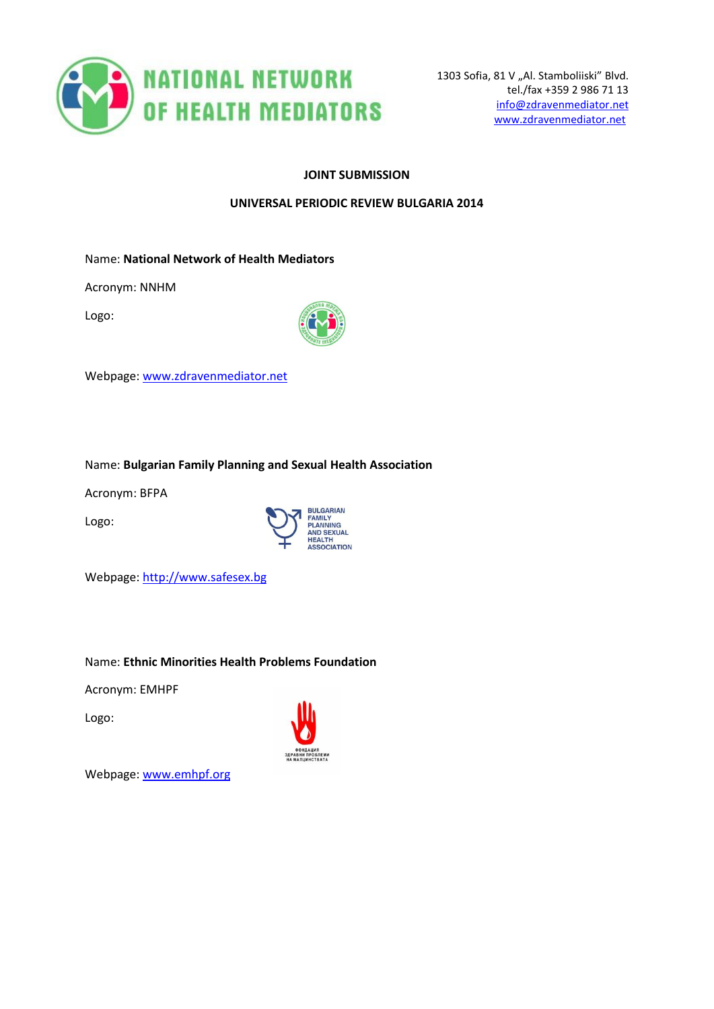

### **JOINT SUBMISSION**

## **UNIVERSAL PERIODIC REVIEW BULGARIA 2014**

Name: **National Network of Health Mediators**

Acronym: NNHM

Logo:



Webpage: [www.zdravenmediator.net](http://www.zdravenmediator.net/)

Name: **Bulgarian Family Planning and Sexual Health Association**

Acronym: BFPA

Logo:



Webpage: [http://www.safesex.bg](http://www.safesex.bg/)

## Name: **Ethnic Minorities Health Problems Foundation**

Acronym: EMHPF

Logo:



Webpage: [www.emhpf.org](http://www.emhpf.org/)